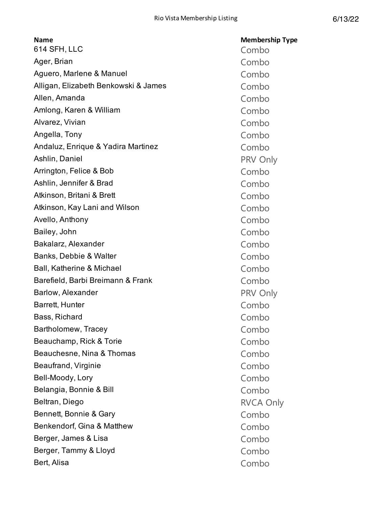| <b>Name</b>                          | <b>Membership Type</b> |
|--------------------------------------|------------------------|
| 614 SFH, LLC                         | Combo                  |
| Ager, Brian                          | Combo                  |
| Aguero, Marlene & Manuel             | Combo                  |
| Alligan, Elizabeth Benkowski & James | Combo                  |
| Allen, Amanda                        | Combo                  |
| Amlong, Karen & William              | Combo                  |
| Alvarez, Vivian                      | Combo                  |
| Angella, Tony                        | Combo                  |
| Andaluz, Enrique & Yadira Martinez   | Combo                  |
| Ashlin, Daniel                       | PRV Only               |
| Arrington, Felice & Bob              | Combo                  |
| Ashlin, Jennifer & Brad              | Combo                  |
| Atkinson, Britani & Brett            | Combo                  |
| Atkinson, Kay Lani and Wilson        | Combo                  |
| Avello, Anthony                      | Combo                  |
| Bailey, John                         | Combo                  |
| Bakalarz, Alexander                  | Combo                  |
| Banks, Debbie & Walter               | Combo                  |
| <b>Ball, Katherine &amp; Michael</b> | Combo                  |
| Barefield, Barbi Breimann & Frank    | Combo                  |
| Barlow, Alexander                    | PRV Only               |
| Barrett, Hunter                      | Combo                  |
| Bass, Richard                        | Combo                  |
| Bartholomew, Tracey                  | Combo                  |
| Beauchamp, Rick & Torie              | Combo                  |
| Beauchesne, Nina & Thomas            | Combo                  |
| Beaufrand, Virginie                  | Combo                  |
| Bell-Moody, Lory                     | Combo                  |
| Belangia, Bonnie & Bill              | Combo                  |
| Beltran, Diego                       | <b>RVCA Only</b>       |
| Bennett, Bonnie & Gary               | Combo                  |
| Benkendorf, Gina & Matthew           | Combo                  |
| Berger, James & Lisa                 | Combo                  |
| Berger, Tammy & Lloyd                | Combo                  |
| Bert, Alisa                          | Combo                  |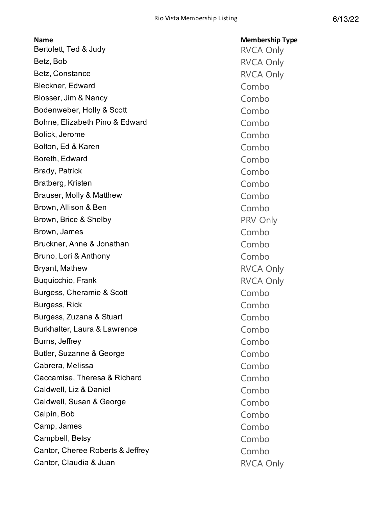| <b>Name</b>                      | <b>Membership Type</b> |
|----------------------------------|------------------------|
| Bertolett, Ted & Judy            | <b>RVCA Only</b>       |
| Betz, Bob                        | <b>RVCA Only</b>       |
| Betz, Constance                  | <b>RVCA Only</b>       |
| <b>Bleckner, Edward</b>          | Combo                  |
| Blosser, Jim & Nancy             | Combo                  |
| Bodenweber, Holly & Scott        | Combo                  |
| Bohne, Elizabeth Pino & Edward   | Combo                  |
| Bolick, Jerome                   | Combo                  |
| Bolton, Ed & Karen               | Combo                  |
| Boreth, Edward                   | Combo                  |
| <b>Brady, Patrick</b>            | Combo                  |
| Bratberg, Kristen                | Combo                  |
| Brauser, Molly & Matthew         | Combo                  |
| Brown, Allison & Ben             | Combo                  |
| Brown, Brice & Shelby            | PRV Only               |
| Brown, James                     | Combo                  |
| Bruckner, Anne & Jonathan        | Combo                  |
| Bruno, Lori & Anthony            | Combo                  |
| <b>Bryant, Mathew</b>            | <b>RVCA Only</b>       |
| Buquicchio, Frank                | <b>RVCA Only</b>       |
| Burgess, Cheramie & Scott        | Combo                  |
| Burgess, Rick                    | Combo                  |
| Burgess, Zuzana & Stuart         | Combo                  |
| Burkhalter, Laura & Lawrence     | Combo                  |
| Burns, Jeffrey                   | Combo                  |
| Butler, Suzanne & George         | Combo                  |
| Cabrera, Melissa                 | Combo                  |
| Caccamise, Theresa & Richard     | Combo                  |
| Caldwell, Liz & Daniel           | Combo                  |
| Caldwell, Susan & George         | Combo                  |
| Calpin, Bob                      | Combo                  |
| Camp, James                      | Combo                  |
| Campbell, Betsy                  | Combo                  |
| Cantor, Cheree Roberts & Jeffrey | Combo                  |
| Cantor, Claudia & Juan           | <b>RVCA Only</b>       |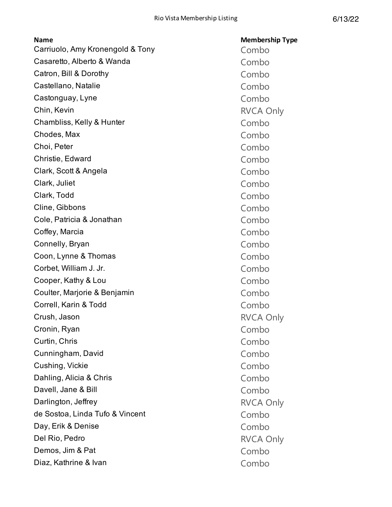| <b>Name</b>                      | <b>Membership Type</b> |
|----------------------------------|------------------------|
| Carriuolo, Amy Kronengold & Tony | Combo                  |
| Casaretto, Alberto & Wanda       | Combo                  |
| Catron, Bill & Dorothy           | Combo                  |
| Castellano, Natalie              | Combo                  |
| Castonguay, Lyne                 | Combo                  |
| Chin, Kevin                      | <b>RVCA Only</b>       |
| Chambliss, Kelly & Hunter        | Combo                  |
| Chodes, Max                      | Combo                  |
| Choi, Peter                      | Combo                  |
| Christie, Edward                 | Combo                  |
| Clark, Scott & Angela            | Combo                  |
| Clark, Juliet                    | Combo                  |
| Clark, Todd                      | Combo                  |
| Cline, Gibbons                   | Combo                  |
| Cole, Patricia & Jonathan        | Combo                  |
| Coffey, Marcia                   | Combo                  |
| Connelly, Bryan                  | Combo                  |
| Coon, Lynne & Thomas             | Combo                  |
| Corbet, William J. Jr.           | Combo                  |
| Cooper, Kathy & Lou              | Combo                  |
| Coulter, Marjorie & Benjamin     | Combo                  |
| Correll, Karin & Todd            | Combo                  |
| Crush, Jason                     | <b>RVCA Only</b>       |
| Cronin, Ryan                     | Combo                  |
| Curtin, Chris                    | Combo                  |
| Cunningham, David                | Combo                  |
| Cushing, Vickie                  | Combo                  |
| Dahling, Alicia & Chris          | Combo                  |
| Davell, Jane & Bill              | Combo                  |
| Darlington, Jeffrey              | <b>RVCA Only</b>       |
| de Sostoa, Linda Tufo & Vincent  | Combo                  |
| Day, Erik & Denise               | Combo                  |
| Del Rio, Pedro                   | <b>RVCA Only</b>       |
| Demos, Jim & Pat                 | Combo                  |
| Diaz, Kathrine & Ivan            | Combo                  |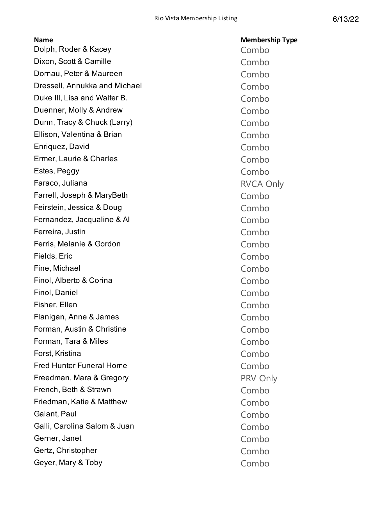| <b>Name</b>                     | <b>Membership Type</b> |
|---------------------------------|------------------------|
| Dolph, Roder & Kacey            | Combo                  |
| Dixon, Scott & Camille          | Combo                  |
| Dornau, Peter & Maureen         | Combo                  |
| Dressell, Annukka and Michael   | Combo                  |
| Duke III, Lisa and Walter B.    | Combo                  |
| Duenner, Molly & Andrew         | Combo                  |
| Dunn, Tracy & Chuck (Larry)     | Combo                  |
| Ellison, Valentina & Brian      | Combo                  |
| Enriquez, David                 | Combo                  |
| Ermer, Laurie & Charles         | Combo                  |
| Estes, Peggy                    | Combo                  |
| Faraco, Juliana                 | <b>RVCA Only</b>       |
| Farrell, Joseph & MaryBeth      | Combo                  |
| Feirstein, Jessica & Doug       | Combo                  |
| Fernandez, Jacqualine & Al      | Combo                  |
| Ferreira, Justin                | Combo                  |
| Ferris, Melanie & Gordon        | Combo                  |
| Fields, Eric                    | Combo                  |
| Fine, Michael                   | Combo                  |
| Finol, Alberto & Corina         | Combo                  |
| Finol, Daniel                   | Combo                  |
| Fisher, Ellen                   | Combo                  |
| Flanigan, Anne & James          | Combo                  |
| Forman, Austin & Christine      | Combo                  |
| Forman, Tara & Miles            | Combo                  |
| Forst, Kristina                 | Combo                  |
| <b>Fred Hunter Funeral Home</b> | Combo                  |
| Freedman, Mara & Gregory        | PRV Only               |
| French, Beth & Strawn           | Combo                  |
| Friedman, Katie & Matthew       | Combo                  |
| Galant, Paul                    | Combo                  |
| Galli, Carolina Salom & Juan    | Combo                  |
| Gerner, Janet                   | Combo                  |
| Gertz, Christopher              | Combo                  |
| Geyer, Mary & Toby              | Combo                  |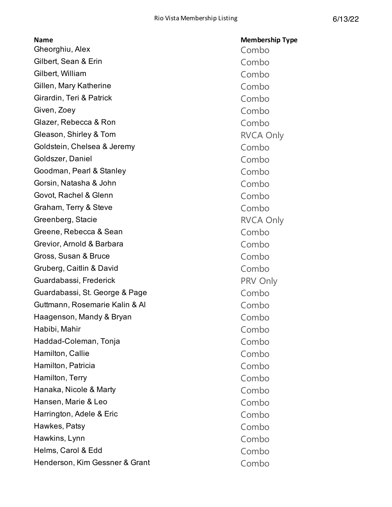| <b>Name</b>                    | <b>Membership Type</b> |
|--------------------------------|------------------------|
| Gheorghiu, Alex                | Combo                  |
| Gilbert, Sean & Erin           | Combo                  |
| Gilbert, William               | Combo                  |
| Gillen, Mary Katherine         | Combo                  |
| Girardin, Teri & Patrick       | Combo                  |
| Given, Zoey                    | Combo                  |
| Glazer, Rebecca & Ron          | Combo                  |
| Gleason, Shirley & Tom         | <b>RVCA Only</b>       |
| Goldstein, Chelsea & Jeremy    | Combo                  |
| Goldszer, Daniel               | Combo                  |
| Goodman, Pearl & Stanley       | Combo                  |
| Gorsin, Natasha & John         | Combo                  |
| Govot, Rachel & Glenn          | Combo                  |
| Graham, Terry & Steve          | Combo                  |
| Greenberg, Stacie              | <b>RVCA Only</b>       |
| Greene, Rebecca & Sean         | Combo                  |
| Grevior, Arnold & Barbara      | Combo                  |
| Gross, Susan & Bruce           | Combo                  |
| Gruberg, Caitlin & David       | Combo                  |
| Guardabassi, Frederick         | PRV Only               |
| Guardabassi, St. George & Page | Combo                  |
| Guttmann, Rosemarie Kalin & Al | Combo                  |
| Haagenson, Mandy & Bryan       | Combo                  |
| Habibi, Mahir                  | Combo                  |
| Haddad-Coleman, Tonja          | Combo                  |
| Hamilton, Callie               | Combo                  |
| Hamilton, Patricia             | Combo                  |
| Hamilton, Terry                | Combo                  |
| Hanaka, Nicole & Marty         | Combo                  |
| Hansen, Marie & Leo            | Combo                  |
| Harrington, Adele & Eric       | Combo                  |
| Hawkes, Patsy                  | Combo                  |
| Hawkins, Lynn                  | Combo                  |
| Helms, Carol & Edd             | Combo                  |
| Henderson, Kim Gessner & Grant | Combo                  |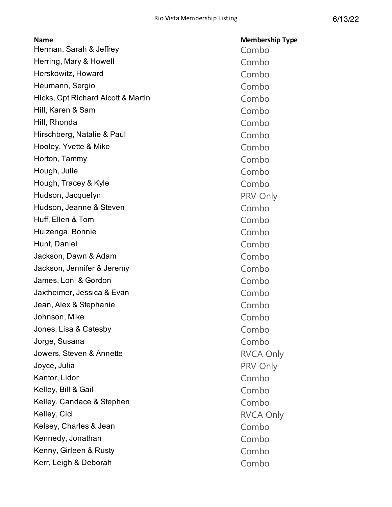| <b>Name</b>                        | <b>Membership Type</b> |
|------------------------------------|------------------------|
| Herman, Sarah & Jeffrey            | Combo                  |
| Herring, Mary & Howell             | Combo                  |
| Herskowitz, Howard                 | Combo                  |
| Heumann, Sergio                    | Combo                  |
| Hicks, Cpt Richard Alcott & Martin | Combo                  |
| Hill, Karen & Sam                  | Combo                  |
| Hill, Rhonda                       | Combo                  |
| Hirschberg, Natalie & Paul         | Combo                  |
| Hooley, Yvette & Mike              | Combo                  |
| Horton, Tammy                      | Combo                  |
| Hough, Julie                       | Combo                  |
| Hough, Tracey & Kyle               | Combo                  |
| Hudson, Jacquelyn                  | PRV Only               |
| Hudson, Jeanne & Steven            | Combo                  |
| Huff, Ellen & Tom                  | Combo                  |
| Huizenga, Bonnie                   | Combo                  |
| Hunt, Daniel                       | Combo                  |
| Jackson, Dawn & Adam               | Combo                  |
| Jackson, Jennifer & Jeremy         | Combo                  |
| James, Loni & Gordon               | Combo                  |
| Jaxtheimer, Jessica & Evan         | Combo                  |
| Jean, Alex & Stephanie             | Combo                  |
| Johnson, Mike                      | Combo                  |
| Jones, Lisa & Catesby              | Combo                  |
| Jorge, Susana                      | Combo                  |
| Jowers, Steven & Annette           | <b>RVCA Only</b>       |
| Joyce, Julia                       | PRV Only               |
| Kantor, Lidor                      | Combo                  |
| Kelley, Bill & Gail                | Combo                  |
| Kelley, Candace & Stephen          | Combo                  |
| Kelley, Cici                       | <b>RVCA Only</b>       |
| Kelsey, Charles & Jean             | Combo                  |
| Kennedy, Jonathan                  | Combo                  |
| Kenny, Girleen & Rusty             | Combo                  |
| Kerr, Leigh & Deborah              | Combo                  |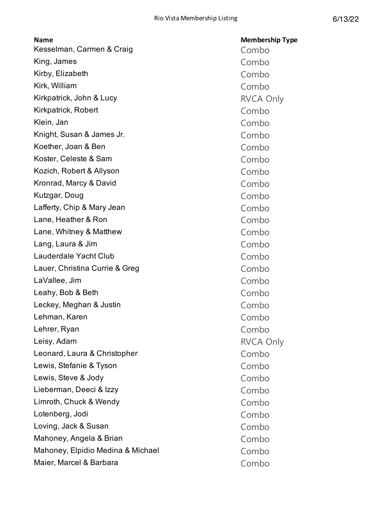| <b>Name</b>                       | <b>Membership Type</b> |
|-----------------------------------|------------------------|
| Kesselman, Carmen & Craig         | Combo                  |
| King, James                       | Combo                  |
| Kirby, Elizabeth                  | Combo                  |
| Kirk, William                     | Combo                  |
| Kirkpatrick, John & Lucy          | <b>RVCA Only</b>       |
| Kirkpatrick, Robert               | Combo                  |
| Klein, Jan                        | Combo                  |
| Knight, Susan & James Jr.         | Combo                  |
| Koether, Joan & Ben               | Combo                  |
| Koster, Celeste & Sam             | Combo                  |
| Kozich, Robert & Allyson          | Combo                  |
| Kronrad, Marcy & David            | Combo                  |
| Kutzgar, Doug                     | Combo                  |
| Lafferty, Chip & Mary Jean        | Combo                  |
| Lane, Heather & Ron               | Combo                  |
| Lane, Whitney & Matthew           | Combo                  |
| Lang, Laura & Jim                 | Combo                  |
| Lauderdale Yacht Club             | Combo                  |
| Lauer, Christina Currie & Greg    | Combo                  |
| LaVallee, Jim                     | Combo                  |
| Leahy, Bob & Beth                 | Combo                  |
| Leckey, Meghan & Justin           | Combo                  |
| Lehman, Karen                     | Combo                  |
| Lehrer, Ryan                      | Combo                  |
| Leisy, Adam                       | <b>RVCA Only</b>       |
| Leonard, Laura & Christopher      | Combo                  |
| Lewis, Stefanie & Tyson           | Combo                  |
| Lewis, Steve & Jody               | Combo                  |
| Lieberman, Deeci & Izzy           | Combo                  |
| Limroth, Chuck & Wendy            | Combo                  |
| Lotenberg, Jodi                   | Combo                  |
| Loving, Jack & Susan              | Combo                  |
| Mahoney, Angela & Brian           | Combo                  |
| Mahoney, Elpidio Medina & Michael | Combo                  |
| Maier, Marcel & Barbara           | Combo                  |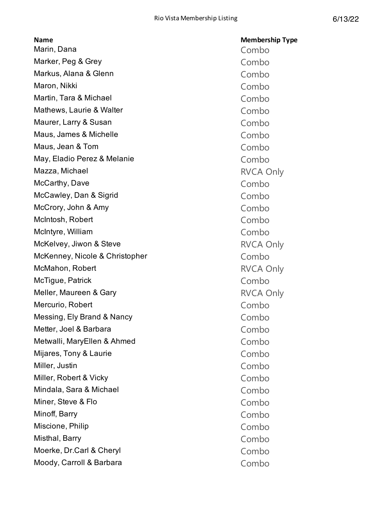| <b>Name</b>                    | <b>Membership Type</b> |
|--------------------------------|------------------------|
| Marin, Dana                    | Combo                  |
| Marker, Peg & Grey             | Combo                  |
| Markus, Alana & Glenn          | Combo                  |
| Maron, Nikki                   | Combo                  |
| Martin, Tara & Michael         | Combo                  |
| Mathews, Laurie & Walter       | Combo                  |
| Maurer, Larry & Susan          | Combo                  |
| Maus, James & Michelle         | Combo                  |
| Maus, Jean & Tom               | Combo                  |
| May, Eladio Perez & Melanie    | Combo                  |
| Mazza, Michael                 | <b>RVCA Only</b>       |
| McCarthy, Dave                 | Combo                  |
| McCawley, Dan & Sigrid         | Combo                  |
| McCrory, John & Amy            | Combo                  |
| McIntosh, Robert               | Combo                  |
| McIntyre, William              | Combo                  |
| McKelvey, Jiwon & Steve        | <b>RVCA Only</b>       |
| McKenney, Nicole & Christopher | Combo                  |
| McMahon, Robert                | <b>RVCA Only</b>       |
| McTigue, Patrick               | Combo                  |
| Meller, Maureen & Gary         | <b>RVCA Only</b>       |
| Mercurio, Robert               | Combo                  |
| Messing, Ely Brand & Nancy     | Combo                  |
| Metter, Joel & Barbara         | Combo                  |
| Metwalli, MaryEllen & Ahmed    | Combo                  |
| Mijares, Tony & Laurie         | Combo                  |
| Miller, Justin                 | Combo                  |
| Miller, Robert & Vicky         | Combo                  |
| Mindala, Sara & Michael        | Combo                  |
| Miner, Steve & Flo             | Combo                  |
| Minoff, Barry                  | Combo                  |
| Miscione, Philip               | Combo                  |
| Misthal, Barry                 | Combo                  |
| Moerke, Dr.Carl & Cheryl       | Combo                  |
| Moody, Carroll & Barbara       | Combo                  |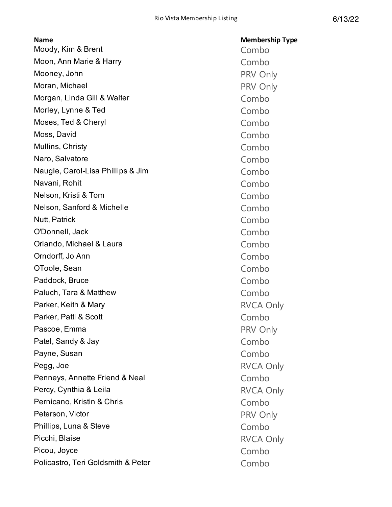| <b>Name</b>                        | <b>Membership Type</b> |
|------------------------------------|------------------------|
| Moody, Kim & Brent                 | Combo                  |
| Moon, Ann Marie & Harry            | Combo                  |
| Mooney, John                       | PRV Only               |
| Moran, Michael                     | PRV Only               |
| Morgan, Linda Gill & Walter        | Combo                  |
| Morley, Lynne & Ted                | Combo                  |
| Moses, Ted & Cheryl                | Combo                  |
| Moss, David                        | Combo                  |
| Mullins, Christy                   | Combo                  |
| Naro, Salvatore                    | Combo                  |
| Naugle, Carol-Lisa Phillips & Jim  | Combo                  |
| Navani, Rohit                      | Combo                  |
| Nelson, Kristi & Tom               | Combo                  |
| Nelson, Sanford & Michelle         | Combo                  |
| Nutt, Patrick                      | Combo                  |
| O'Donnell, Jack                    | Combo                  |
| Orlando, Michael & Laura           | Combo                  |
| Orndorff, Jo Ann                   | Combo                  |
| OToole, Sean                       | Combo                  |
| Paddock, Bruce                     | Combo                  |
| Paluch, Tara & Matthew             | Combo                  |
| Parker, Keith & Mary               | <b>RVCA Only</b>       |
| Parker, Patti & Scott              | Combo                  |
| Pascoe, Emma                       | PRV Only               |
| Patel, Sandy & Jay                 | Combo                  |
| Payne, Susan                       | Combo                  |
| Pegg, Joe                          | <b>RVCA Only</b>       |
| Penneys, Annette Friend & Neal     | Combo                  |
| Percy, Cynthia & Leila             | <b>RVCA Only</b>       |
| Pernicano, Kristin & Chris         | Combo                  |
| Peterson, Victor                   | PRV Only               |
| Phillips, Luna & Steve             | Combo                  |
| Picchi, Blaise                     | <b>RVCA Only</b>       |
| Picou, Joyce                       | Combo                  |
| Policastro, Teri Goldsmith & Peter | Combo                  |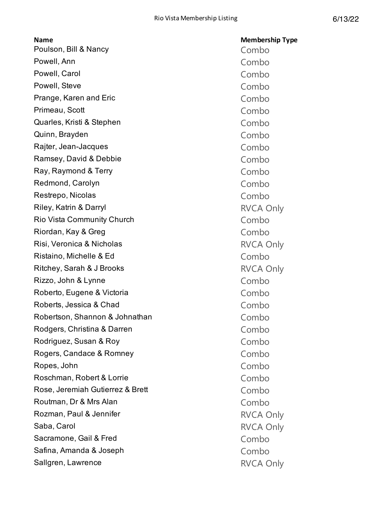| Poulson, Bill & Nancy<br>Powell, Ann | Combo<br>Combo   |
|--------------------------------------|------------------|
|                                      |                  |
|                                      |                  |
| Powell, Carol                        | Combo            |
| Powell, Steve                        | Combo            |
| Prange, Karen and Eric               | Combo            |
| Primeau, Scott                       | Combo            |
| Quarles, Kristi & Stephen            | Combo            |
| Quinn, Brayden                       | Combo            |
| Rajter, Jean-Jacques                 | Combo            |
| Ramsey, David & Debbie               | Combo            |
| Ray, Raymond & Terry                 | Combo            |
| Redmond, Carolyn                     | Combo            |
| Restrepo, Nicolas                    | Combo            |
| Riley, Katrin & Darryl               | <b>RVCA Only</b> |
| <b>Rio Vista Community Church</b>    | Combo            |
| Riordan, Kay & Greg                  | Combo            |
| Risi, Veronica & Nicholas            | <b>RVCA Only</b> |
| Ristaino, Michelle & Ed              | Combo            |
| Ritchey, Sarah & J Brooks            | <b>RVCA Only</b> |
| Rizzo, John & Lynne                  | Combo            |
| Roberto, Eugene & Victoria           | Combo            |
| Roberts, Jessica & Chad              | Combo            |
| Robertson, Shannon & Johnathan       | Combo            |
| Rodgers, Christina & Darren          | Combo            |
| Rodriguez, Susan & Roy               | Combo            |
| Rogers, Candace & Romney             | Combo            |
| Ropes, John                          | Combo            |
| Roschman, Robert & Lorrie            | Combo            |
| Rose, Jeremiah Gutierrez & Brett     | Combo            |
| Routman, Dr & Mrs Alan               | Combo            |
| Rozman, Paul & Jennifer              | <b>RVCA Only</b> |
| Saba, Carol                          | <b>RVCA Only</b> |
| Sacramone, Gail & Fred               | Combo            |
| Safina, Amanda & Joseph              | Combo            |
| Sallgren, Lawrence                   | <b>RVCA Only</b> |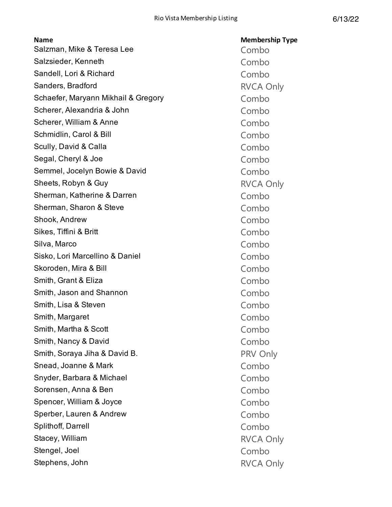| <b>Name</b>                         | <b>Membership Type</b> |
|-------------------------------------|------------------------|
| Salzman, Mike & Teresa Lee          | Combo                  |
| Salzsieder, Kenneth                 | Combo                  |
| Sandell, Lori & Richard             | Combo                  |
| Sanders, Bradford                   | <b>RVCA Only</b>       |
| Schaefer, Maryann Mikhail & Gregory | Combo                  |
| Scherer, Alexandria & John          | Combo                  |
| Scherer, William & Anne             | Combo                  |
| Schmidlin, Carol & Bill             | Combo                  |
| Scully, David & Calla               | Combo                  |
| Segal, Cheryl & Joe                 | Combo                  |
| Semmel, Jocelyn Bowie & David       | Combo                  |
| Sheets, Robyn & Guy                 | <b>RVCA Only</b>       |
| Sherman, Katherine & Darren         | Combo                  |
| Sherman, Sharon & Steve             | Combo                  |
| Shook, Andrew                       | Combo                  |
| Sikes, Tiffini & Britt              | Combo                  |
| Silva, Marco                        | Combo                  |
| Sisko, Lori Marcellino & Daniel     | Combo                  |
| Skoroden, Mira & Bill               | Combo                  |
| Smith, Grant & Eliza                | Combo                  |
| Smith, Jason and Shannon            | Combo                  |
| Smith, Lisa & Steven                | Combo                  |
| Smith, Margaret                     | Combo                  |
| Smith, Martha & Scott               | Combo                  |
| Smith, Nancy & David                | Combo                  |
| Smith, Soraya Jiha & David B.       | PRV Only               |
| Snead, Joanne & Mark                | Combo                  |
| Snyder, Barbara & Michael           | Combo                  |
| Sorensen, Anna & Ben                | Combo                  |
| Spencer, William & Joyce            | Combo                  |
| Sperber, Lauren & Andrew            | Combo                  |
| Splithoff, Darrell                  | Combo                  |
| Stacey, William                     | <b>RVCA Only</b>       |
| Stengel, Joel                       | Combo                  |
| Stephens, John                      | <b>RVCA Only</b>       |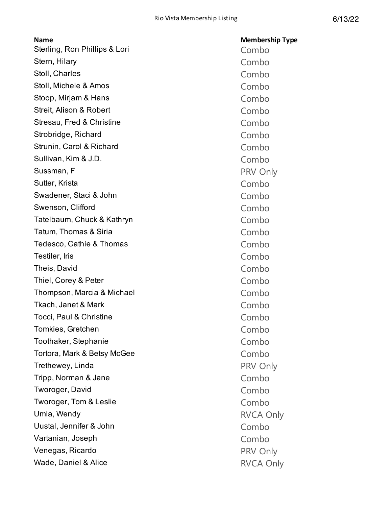| <b>Name</b>                   | <b>Membership Type</b> |
|-------------------------------|------------------------|
| Sterling, Ron Phillips & Lori | Combo                  |
| Stern, Hilary                 | Combo                  |
| Stoll, Charles                | Combo                  |
| Stoll, Michele & Amos         | Combo                  |
| Stoop, Mirjam & Hans          | Combo                  |
| Streit, Alison & Robert       | Combo                  |
| Stresau, Fred & Christine     | Combo                  |
| Strobridge, Richard           | Combo                  |
| Strunin, Carol & Richard      | Combo                  |
| Sullivan, Kim & J.D.          | Combo                  |
| Sussman, F                    | PRV Only               |
| Sutter, Krista                | Combo                  |
| Swadener, Staci & John        | Combo                  |
| Swenson, Clifford             | Combo                  |
| Tatelbaum, Chuck & Kathryn    | Combo                  |
| Tatum, Thomas & Siria         | Combo                  |
| Tedesco, Cathie & Thomas      | Combo                  |
| Testiler, Iris                | Combo                  |
| Theis, David                  | Combo                  |
| Thiel, Corey & Peter          | Combo                  |
| Thompson, Marcia & Michael    | Combo                  |
| Tkach, Janet & Mark           | Combo                  |
| Tocci, Paul & Christine       | Combo                  |
| Tomkies, Gretchen             | Combo                  |
| Toothaker, Stephanie          | Combo                  |
| Tortora, Mark & Betsy McGee   | Combo                  |
| Trethewey, Linda              | PRV Only               |
| Tripp, Norman & Jane          | Combo                  |
| Tworoger, David               | Combo                  |
| Tworoger, Tom & Leslie        | Combo                  |
| Umla, Wendy                   | <b>RVCA Only</b>       |
| Uustal, Jennifer & John       | Combo                  |
| Vartanian, Joseph             | Combo                  |
| Venegas, Ricardo              | PRV Only               |
| Wade, Daniel & Alice          | <b>RVCA Only</b>       |